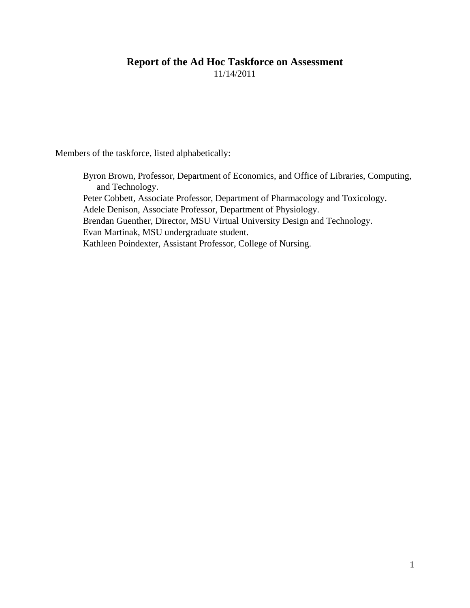# **Report of the Ad Hoc Taskforce on Assessment**

11/14/2011

Members of the taskforce, listed alphabetically:

Byron Brown, Professor, Department of Economics, and Office of Libraries, Computing, and Technology. Peter Cobbett, Associate Professor, Department of Pharmacology and Toxicology. Adele Denison, Associate Professor, Department of Physiology. Brendan Guenther, Director, MSU Virtual University Design and Technology. Evan Martinak, MSU undergraduate student. Kathleen Poindexter, Assistant Professor, College of Nursing.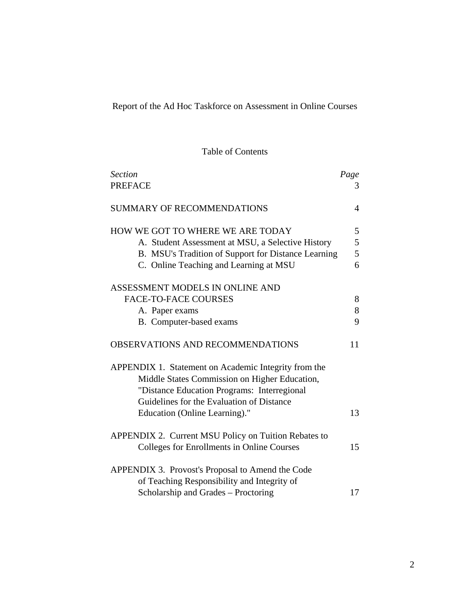Report of the Ad Hoc Taskforce on Assessment in Online Courses

Table of Contents

| <b>Section</b>                                       | Page           |
|------------------------------------------------------|----------------|
| <b>PREFACE</b>                                       | 3              |
|                                                      |                |
| <b>SUMMARY OF RECOMMENDATIONS</b>                    | $\overline{4}$ |
|                                                      |                |
| HOW WE GOT TO WHERE WE ARE TODAY                     | 5              |
| A. Student Assessment at MSU, a Selective History    | 5              |
| B. MSU's Tradition of Support for Distance Learning  | 5              |
| C. Online Teaching and Learning at MSU               | 6              |
| ASSESSMENT MODELS IN ONLINE AND                      |                |
|                                                      |                |
| <b>FACE-TO-FACE COURSES</b>                          | 8              |
| A. Paper exams                                       | 8              |
| B. Computer-based exams                              | 9              |
| OBSERVATIONS AND RECOMMENDATIONS                     | 11             |
| APPENDIX 1. Statement on Academic Integrity from the |                |
| Middle States Commission on Higher Education,        |                |
| "Distance Education Programs: Interregional          |                |
| Guidelines for the Evaluation of Distance            |                |
|                                                      |                |
| Education (Online Learning)."                        | 13             |
| APPENDIX 2. Current MSU Policy on Tuition Rebates to |                |
| Colleges for Enrollments in Online Courses           | 15             |
|                                                      |                |
| APPENDIX 3. Provost's Proposal to Amend the Code     |                |
| of Teaching Responsibility and Integrity of          |                |
| Scholarship and Grades – Proctoring                  | 17             |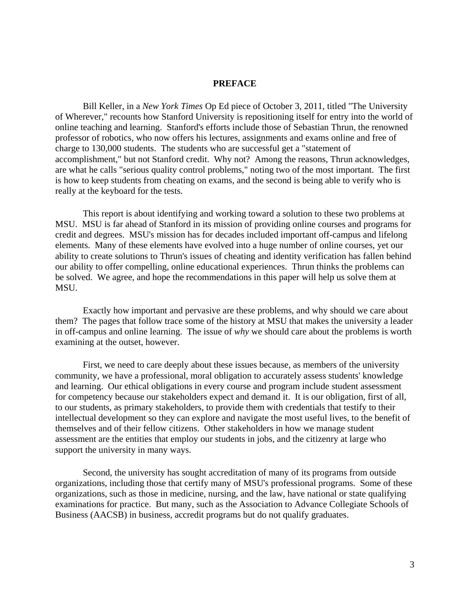#### **PREFACE**

Bill Keller, in a *New York Times* Op Ed piece of October 3, 2011, titled "The University of Wherever," recounts how Stanford University is repositioning itself for entry into the world of online teaching and learning. Stanford's efforts include those of Sebastian Thrun, the renowned professor of robotics, who now offers his lectures, assignments and exams online and free of charge to 130,000 students. The students who are successful get a "statement of accomplishment," but not Stanford credit. Why not? Among the reasons, Thrun acknowledges, are what he calls "serious quality control problems," noting two of the most important. The first is how to keep students from cheating on exams, and the second is being able to verify who is really at the keyboard for the tests.

This report is about identifying and working toward a solution to these two problems at MSU. MSU is far ahead of Stanford in its mission of providing online courses and programs for credit and degrees. MSU's mission has for decades included important off-campus and lifelong elements. Many of these elements have evolved into a huge number of online courses, yet our ability to create solutions to Thrun's issues of cheating and identity verification has fallen behind our ability to offer compelling, online educational experiences. Thrun thinks the problems can be solved. We agree, and hope the recommendations in this paper will help us solve them at MSU.

Exactly how important and pervasive are these problems, and why should we care about them? The pages that follow trace some of the history at MSU that makes the university a leader in off-campus and online learning. The issue of *why* we should care about the problems is worth examining at the outset, however.

First, we need to care deeply about these issues because, as members of the university community, we have a professional, moral obligation to accurately assess students' knowledge and learning. Our ethical obligations in every course and program include student assessment for competency because our stakeholders expect and demand it. It is our obligation, first of all, to our students, as primary stakeholders, to provide them with credentials that testify to their intellectual development so they can explore and navigate the most useful lives, to the benefit of themselves and of their fellow citizens. Other stakeholders in how we manage student assessment are the entities that employ our students in jobs, and the citizenry at large who support the university in many ways.

Second, the university has sought accreditation of many of its programs from outside organizations, including those that certify many of MSU's professional programs. Some of these organizations, such as those in medicine, nursing, and the law, have national or state qualifying examinations for practice. But many, such as the Association to Advance Collegiate Schools of Business (AACSB) in business, accredit programs but do not qualify graduates.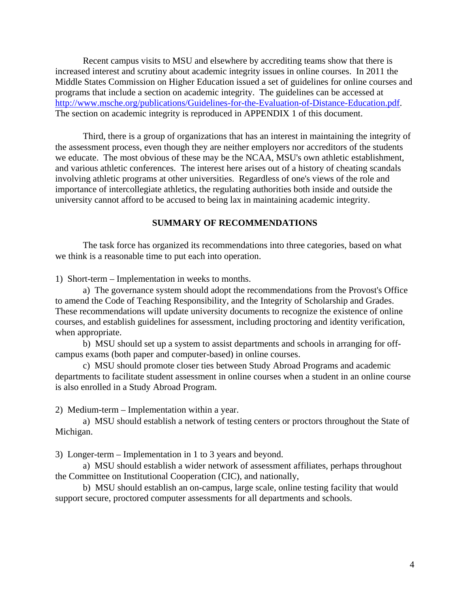Recent campus visits to MSU and elsewhere by accrediting teams show that there is increased interest and scrutiny about academic integrity issues in online courses. In 2011 the Middle States Commission on Higher Education issued a set of guidelines for online courses and programs that include a section on academic integrity. The guidelines can be accessed at [http://www.msche.org/publications/Guidelines-for-the-Evaluation-of-Distance-Education.pdf.](http://www.msche.org/publications/Guidelines-for-the-Evaluation-of-Distance-Education.pdf) The section on academic integrity is reproduced in APPENDIX 1 of this document.

Third, there is a group of organizations that has an interest in maintaining the integrity of the assessment process, even though they are neither employers nor accreditors of the students we educate. The most obvious of these may be the NCAA, MSU's own athletic establishment, and various athletic conferences. The interest here arises out of a history of cheating scandals involving athletic programs at other universities. Regardless of one's views of the role and importance of intercollegiate athletics, the regulating authorities both inside and outside the university cannot afford to be accused to being lax in maintaining academic integrity.

#### **SUMMARY OF RECOMMENDATIONS**

The task force has organized its recommendations into three categories, based on what we think is a reasonable time to put each into operation.

1) Short-term – Implementation in weeks to months.

a) The governance system should adopt the recommendations from the Provost's Office to amend the Code of Teaching Responsibility, and the Integrity of Scholarship and Grades. These recommendations will update university documents to recognize the existence of online courses, and establish guidelines for assessment, including proctoring and identity verification, when appropriate.

b) MSU should set up a system to assist departments and schools in arranging for offcampus exams (both paper and computer-based) in online courses.

c) MSU should promote closer ties between Study Abroad Programs and academic departments to facilitate student assessment in online courses when a student in an online course is also enrolled in a Study Abroad Program.

2) Medium-term – Implementation within a year.

a) MSU should establish a network of testing centers or proctors throughout the State of Michigan.

3) Longer-term – Implementation in 1 to 3 years and beyond.

a) MSU should establish a wider network of assessment affiliates, perhaps throughout the Committee on Institutional Cooperation (CIC), and nationally,

b) MSU should establish an on-campus, large scale, online testing facility that would support secure, proctored computer assessments for all departments and schools.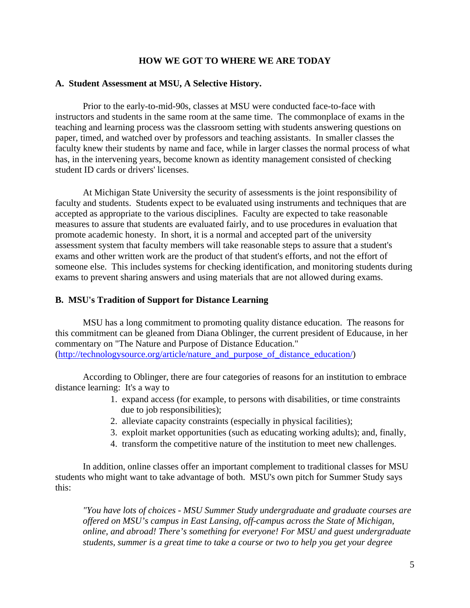## **HOW WE GOT TO WHERE WE ARE TODAY**

#### **A. Student Assessment at MSU, A Selective History.**

Prior to the early-to-mid-90s, classes at MSU were conducted face-to-face with instructors and students in the same room at the same time. The commonplace of exams in the teaching and learning process was the classroom setting with students answering questions on paper, timed, and watched over by professors and teaching assistants. In smaller classes the faculty knew their students by name and face, while in larger classes the normal process of what has, in the intervening years, become known as identity management consisted of checking student ID cards or drivers' licenses.

At Michigan State University the security of assessments is the joint responsibility of faculty and students. Students expect to be evaluated using instruments and techniques that are accepted as appropriate to the various disciplines. Faculty are expected to take reasonable measures to assure that students are evaluated fairly, and to use procedures in evaluation that promote academic honesty. In short, it is a normal and accepted part of the university assessment system that faculty members will take reasonable steps to assure that a student's exams and other written work are the product of that student's efforts, and not the effort of someone else. This includes systems for checking identification, and monitoring students during exams to prevent sharing answers and using materials that are not allowed during exams.

#### **B. MSU's Tradition of Support for Distance Learning**

MSU has a long commitment to promoting quality distance education. The reasons for this commitment can be gleaned from Diana Oblinger, the current president of Educause, in her commentary on "The Nature and Purpose of Distance Education." [\(http://technologysource.org/article/nature\\_and\\_purpose\\_of\\_distance\\_education/\)](http://technologysource.org/article/nature_and_purpose_of_distance_education/)

According to Oblinger, there are four categories of reasons for an institution to embrace distance learning: It's a way to

- 1. expand access (for example, to persons with disabilities, or time constraints due to job responsibilities);
- 2. alleviate capacity constraints (especially in physical facilities);
- 3. exploit market opportunities (such as educating working adults); and, finally,
- 4. transform the competitive nature of the institution to meet new challenges.

In addition, online classes offer an important complement to traditional classes for MSU students who might want to take advantage of both. MSU's own pitch for Summer Study says this:

*"You have lots of choices - MSU Summer Study undergraduate and graduate courses are offered on MSU's campus in East Lansing, off-campus across the State of Michigan, online, and abroad! There's something for everyone! For MSU and guest undergraduate students, summer is a great time to take a course or two to help you get your degree*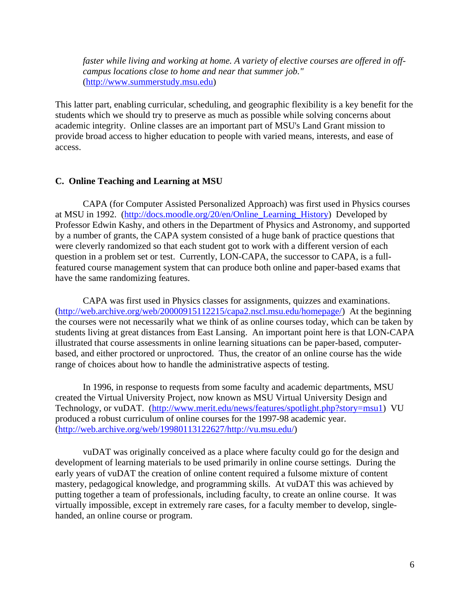*faster while living and working at home. A variety of elective courses are offered in offcampus locations close to home and near that summer job."* [\(http://www.summerstudy.msu.edu\)](http://www.summerstudy.msu.edu/)

This latter part, enabling curricular, scheduling, and geographic flexibility is a key benefit for the students which we should try to preserve as much as possible while solving concerns about academic integrity. Online classes are an important part of MSU's Land Grant mission to provide broad access to higher education to people with varied means, interests, and ease of access.

#### **C. Online Teaching and Learning at MSU**

CAPA (for Computer Assisted Personalized Approach) was first used in Physics courses at MSU in 1992. [\(http://docs.moodle.org/20/en/Online\\_Learning\\_History\)](http://docs.moodle.org/20/en/Online_Learning_History) Developed by Professor Edwin Kashy, and others in the Department of Physics and Astronomy, and supported by a number of grants, the CAPA system consisted of a huge bank of practice questions that were cleverly randomized so that each student got to work with a different version of each question in a problem set or test. Currently, LON-CAPA, the successor to CAPA, is a fullfeatured course management system that can produce both online and paper-based exams that have the same randomizing features.

CAPA was first used in Physics classes for assignments, quizzes and examinations. [\(http://web.archive.org/web/20000915112215/capa2.nscl.msu.edu/homepage/\)](http://web.archive.org/web/20000915112215/capa2.nscl.msu.edu/homepage/) At the beginning the courses were not necessarily what we think of as online courses today, which can be taken by students living at great distances from East Lansing. An important point here is that LON-CAPA illustrated that course assessments in online learning situations can be paper-based, computerbased, and either proctored or unproctored. Thus, the creator of an online course has the wide range of choices about how to handle the administrative aspects of testing.

In 1996, in response to requests from some faculty and academic departments, MSU created the Virtual University Project, now known as MSU Virtual University Design and Technology, or vuDAT. [\(http://www.merit.edu/news/features/spotlight.php?story=msu1\)](http://www.merit.edu/news/features/spotlight.php?story=msu1) VU produced a robust curriculum of online courses for the 1997-98 academic year. [\(http://web.archive.org/web/19980113122627/http://vu.msu.edu/\)](http://web.archive.org/web/19980113122627/http:/vu.msu.edu/)

vuDAT was originally conceived as a place where faculty could go for the design and development of learning materials to be used primarily in online course settings. During the early years of vuDAT the creation of online content required a fulsome mixture of content mastery, pedagogical knowledge, and programming skills. At vuDAT this was achieved by putting together a team of professionals, including faculty, to create an online course. It was virtually impossible, except in extremely rare cases, for a faculty member to develop, singlehanded, an online course or program.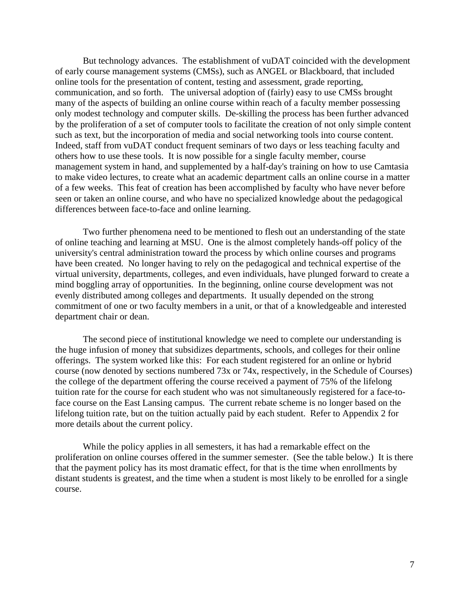But technology advances. The establishment of vuDAT coincided with the development of early course management systems (CMSs), such as ANGEL or Blackboard, that included online tools for the presentation of content, testing and assessment, grade reporting, communication, and so forth. The universal adoption of (fairly) easy to use CMSs brought many of the aspects of building an online course within reach of a faculty member possessing only modest technology and computer skills. De-skilling the process has been further advanced by the proliferation of a set of computer tools to facilitate the creation of not only simple content such as text, but the incorporation of media and social networking tools into course content. Indeed, staff from vuDAT conduct frequent seminars of two days or less teaching faculty and others how to use these tools. It is now possible for a single faculty member, course management system in hand, and supplemented by a half-day's training on how to use Camtasia to make video lectures, to create what an academic department calls an online course in a matter of a few weeks. This feat of creation has been accomplished by faculty who have never before seen or taken an online course, and who have no specialized knowledge about the pedagogical differences between face-to-face and online learning.

Two further phenomena need to be mentioned to flesh out an understanding of the state of online teaching and learning at MSU. One is the almost completely hands-off policy of the university's central administration toward the process by which online courses and programs have been created. No longer having to rely on the pedagogical and technical expertise of the virtual university, departments, colleges, and even individuals, have plunged forward to create a mind boggling array of opportunities. In the beginning, online course development was not evenly distributed among colleges and departments. It usually depended on the strong commitment of one or two faculty members in a unit, or that of a knowledgeable and interested department chair or dean.

The second piece of institutional knowledge we need to complete our understanding is the huge infusion of money that subsidizes departments, schools, and colleges for their online offerings. The system worked like this: For each student registered for an online or hybrid course (now denoted by sections numbered 73x or 74x, respectively, in the Schedule of Courses) the college of the department offering the course received a payment of 75% of the lifelong tuition rate for the course for each student who was not simultaneously registered for a face-toface course on the East Lansing campus. The current rebate scheme is no longer based on the lifelong tuition rate, but on the tuition actually paid by each student. Refer to Appendix 2 for more details about the current policy.

While the policy applies in all semesters, it has had a remarkable effect on the proliferation on online courses offered in the summer semester. (See the table below.) It is there that the payment policy has its most dramatic effect, for that is the time when enrollments by distant students is greatest, and the time when a student is most likely to be enrolled for a single course.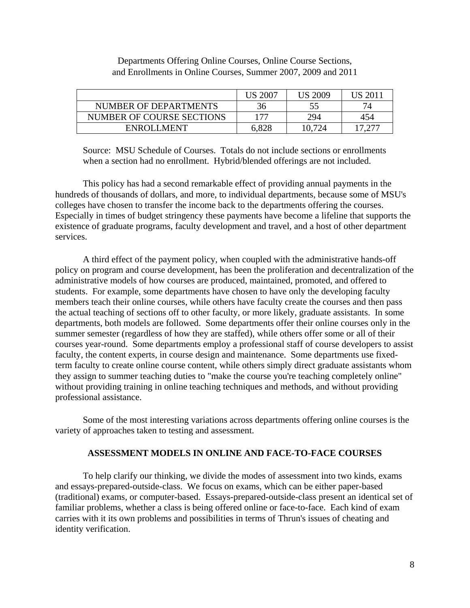|                           | <b>US 2007</b> | <b>US 2009</b> | US 201 |
|---------------------------|----------------|----------------|--------|
| NUMBER OF DEPARTMENTS     | 36             | 55             |        |
| NUMBER OF COURSE SECTIONS | 177            | 294            | 454    |
| <b>ENROLLMENT</b>         | 6,828          | 10,724         |        |

## Departments Offering Online Courses, Online Course Sections, and Enrollments in Online Courses, Summer 2007, 2009 and 2011

Source: MSU Schedule of Courses. Totals do not include sections or enrollments when a section had no enrollment. Hybrid/blended offerings are not included.

This policy has had a second remarkable effect of providing annual payments in the hundreds of thousands of dollars, and more, to individual departments, because some of MSU's colleges have chosen to transfer the income back to the departments offering the courses. Especially in times of budget stringency these payments have become a lifeline that supports the existence of graduate programs, faculty development and travel, and a host of other department services.

A third effect of the payment policy, when coupled with the administrative hands-off policy on program and course development, has been the proliferation and decentralization of the administrative models of how courses are produced, maintained, promoted, and offered to students. For example, some departments have chosen to have only the developing faculty members teach their online courses, while others have faculty create the courses and then pass the actual teaching of sections off to other faculty, or more likely, graduate assistants. In some departments, both models are followed. Some departments offer their online courses only in the summer semester (regardless of how they are staffed), while others offer some or all of their courses year-round. Some departments employ a professional staff of course developers to assist faculty, the content experts, in course design and maintenance. Some departments use fixedterm faculty to create online course content, while others simply direct graduate assistants whom they assign to summer teaching duties to "make the course you're teaching completely online" without providing training in online teaching techniques and methods, and without providing professional assistance.

Some of the most interesting variations across departments offering online courses is the variety of approaches taken to testing and assessment.

## **ASSESSMENT MODELS IN ONLINE AND FACE-TO-FACE COURSES**

To help clarify our thinking, we divide the modes of assessment into two kinds, exams and essays-prepared-outside-class. We focus on exams, which can be either paper-based (traditional) exams, or computer-based. Essays-prepared-outside-class present an identical set of familiar problems, whether a class is being offered online or face-to-face. Each kind of exam carries with it its own problems and possibilities in terms of Thrun's issues of cheating and identity verification.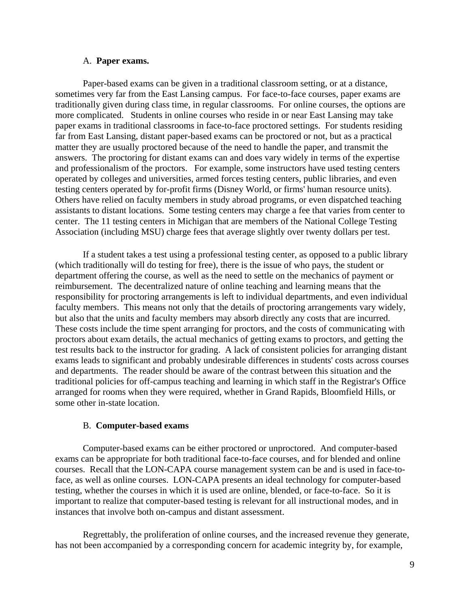#### A. **Paper exams.**

Paper-based exams can be given in a traditional classroom setting, or at a distance, sometimes very far from the East Lansing campus. For face-to-face courses, paper exams are traditionally given during class time, in regular classrooms. For online courses, the options are more complicated. Students in online courses who reside in or near East Lansing may take paper exams in traditional classrooms in face-to-face proctored settings. For students residing far from East Lansing, distant paper-based exams can be proctored or not, but as a practical matter they are usually proctored because of the need to handle the paper, and transmit the answers. The proctoring for distant exams can and does vary widely in terms of the expertise and professionalism of the proctors. For example, some instructors have used testing centers operated by colleges and universities, armed forces testing centers, public libraries, and even testing centers operated by for-profit firms (Disney World, or firms' human resource units). Others have relied on faculty members in study abroad programs, or even dispatched teaching assistants to distant locations. Some testing centers may charge a fee that varies from center to center. The 11 testing centers in Michigan that are members of the National College Testing Association (including MSU) charge fees that average slightly over twenty dollars per test.

If a student takes a test using a professional testing center, as opposed to a public library (which traditionally will do testing for free), there is the issue of who pays, the student or department offering the course, as well as the need to settle on the mechanics of payment or reimbursement. The decentralized nature of online teaching and learning means that the responsibility for proctoring arrangements is left to individual departments, and even individual faculty members. This means not only that the details of proctoring arrangements vary widely, but also that the units and faculty members may absorb directly any costs that are incurred. These costs include the time spent arranging for proctors, and the costs of communicating with proctors about exam details, the actual mechanics of getting exams to proctors, and getting the test results back to the instructor for grading. A lack of consistent policies for arranging distant exams leads to significant and probably undesirable differences in students' costs across courses and departments. The reader should be aware of the contrast between this situation and the traditional policies for off-campus teaching and learning in which staff in the Registrar's Office arranged for rooms when they were required, whether in Grand Rapids, Bloomfield Hills, or some other in-state location.

#### B. **Computer-based exams**

Computer-based exams can be either proctored or unproctored. And computer-based exams can be appropriate for both traditional face-to-face courses, and for blended and online courses. Recall that the LON-CAPA course management system can be and is used in face-toface, as well as online courses. LON-CAPA presents an ideal technology for computer-based testing, whether the courses in which it is used are online, blended, or face-to-face. So it is important to realize that computer-based testing is relevant for all instructional modes, and in instances that involve both on-campus and distant assessment.

Regrettably, the proliferation of online courses, and the increased revenue they generate, has not been accompanied by a corresponding concern for academic integrity by, for example,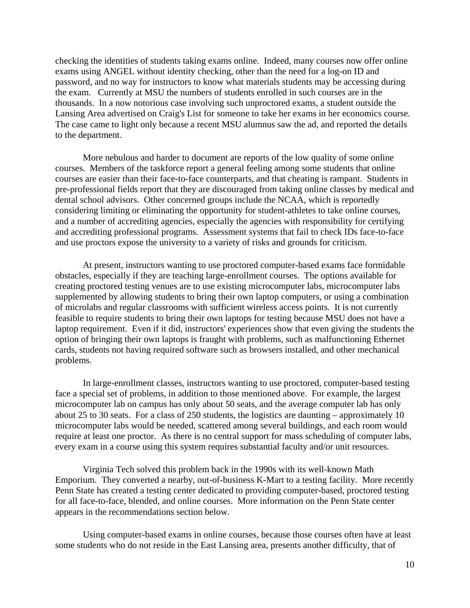checking the identities of students taking exams online. Indeed, many courses now offer online exams using ANGEL without identity checking, other than the need for a log-on ID and password, and no way for instructors to know what materials students may be accessing during the exam. Currently at MSU the numbers of students enrolled in such courses are in the thousands. In a now notorious case involving such unproctored exams, a student outside the Lansing Area advertised on Craig's List for someone to take her exams in her economics course. The case came to light only because a recent MSU alumnus saw the ad, and reported the details to the department.

More nebulous and harder to document are reports of the low quality of some online courses. Members of the taskforce report a general feeling among some students that online courses are easier than their face-to-face counterparts, and that cheating is rampant. Students in pre-professional fields report that they are discouraged from taking online classes by medical and dental school advisors. Other concerned groups include the NCAA, which is reportedly considering limiting or eliminating the opportunity for student-athletes to take online courses, and a number of accrediting agencies, especially the agencies with responsibility for certifying and accrediting professional programs. Assessment systems that fail to check IDs face-to-face and use proctors expose the university to a variety of risks and grounds for criticism.

At present, instructors wanting to use proctored computer-based exams face formidable obstacles, especially if they are teaching large-enrollment courses. The options available for creating proctored testing venues are to use existing microcomputer labs, microcomputer labs supplemented by allowing students to bring their own laptop computers, or using a combination of microlabs and regular classrooms with sufficient wireless access points. It is not currently feasible to require students to bring their own laptops for testing because MSU does not have a laptop requirement. Even if it did, instructors' experiences show that even giving the students the option of bringing their own laptops is fraught with problems, such as malfunctioning Ethernet cards, students not having required software such as browsers installed, and other mechanical problems.

In large-enrollment classes, instructors wanting to use proctored, computer-based testing face a special set of problems, in addition to those mentioned above. For example, the largest microcomputer lab on campus has only about 50 seats, and the average computer lab has only about 25 to 30 seats. For a class of 250 students, the logistics are daunting – approximately 10 microcomputer labs would be needed, scattered among several buildings, and each room would require at least one proctor. As there is no central support for mass scheduling of computer labs, every exam in a course using this system requires substantial faculty and/or unit resources.

Virginia Tech solved this problem back in the 1990s with its well-known Math Emporium. They converted a nearby, out-of-business K-Mart to a testing facility. More recently Penn State has created a testing center dedicated to providing computer-based, proctored testing for all face-to-face, blended, and online courses. More information on the Penn State center appears in the recommendations section below.

Using computer-based exams in online courses, because those courses often have at least some students who do not reside in the East Lansing area, presents another difficulty, that of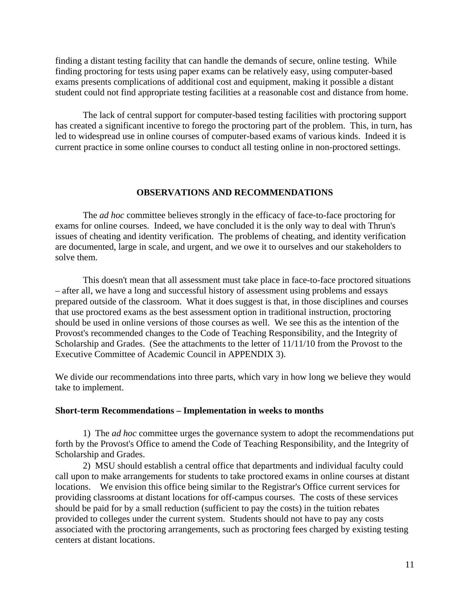finding a distant testing facility that can handle the demands of secure, online testing. While finding proctoring for tests using paper exams can be relatively easy, using computer-based exams presents complications of additional cost and equipment, making it possible a distant student could not find appropriate testing facilities at a reasonable cost and distance from home.

The lack of central support for computer-based testing facilities with proctoring support has created a significant incentive to forego the proctoring part of the problem. This, in turn, has led to widespread use in online courses of computer-based exams of various kinds. Indeed it is current practice in some online courses to conduct all testing online in non-proctored settings.

#### **OBSERVATIONS AND RECOMMENDATIONS**

The *ad hoc* committee believes strongly in the efficacy of face-to-face proctoring for exams for online courses. Indeed, we have concluded it is the only way to deal with Thrun's issues of cheating and identity verification. The problems of cheating, and identity verification are documented, large in scale, and urgent, and we owe it to ourselves and our stakeholders to solve them.

This doesn't mean that all assessment must take place in face-to-face proctored situations – after all, we have a long and successful history of assessment using problems and essays prepared outside of the classroom. What it does suggest is that, in those disciplines and courses that use proctored exams as the best assessment option in traditional instruction, proctoring should be used in online versions of those courses as well. We see this as the intention of the Provost's recommended changes to the Code of Teaching Responsibility, and the Integrity of Scholarship and Grades. (See the attachments to the letter of  $11/11/10$  from the Provost to the Executive Committee of Academic Council in APPENDIX 3).

We divide our recommendations into three parts, which vary in how long we believe they would take to implement.

#### **Short-term Recommendations – Implementation in weeks to months**

1) The *ad hoc* committee urges the governance system to adopt the recommendations put forth by the Provost's Office to amend the Code of Teaching Responsibility, and the Integrity of Scholarship and Grades.

2) MSU should establish a central office that departments and individual faculty could call upon to make arrangements for students to take proctored exams in online courses at distant locations. We envision this office being similar to the Registrar's Office current services for providing classrooms at distant locations for off-campus courses. The costs of these services should be paid for by a small reduction (sufficient to pay the costs) in the tuition rebates provided to colleges under the current system. Students should not have to pay any costs associated with the proctoring arrangements, such as proctoring fees charged by existing testing centers at distant locations.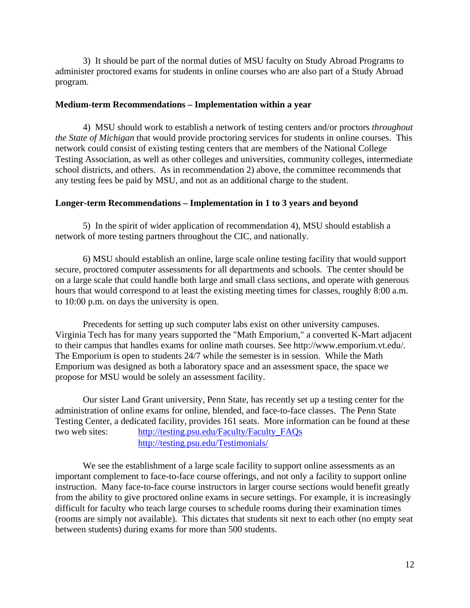3) It should be part of the normal duties of MSU faculty on Study Abroad Programs to administer proctored exams for students in online courses who are also part of a Study Abroad program.

## **Medium-term Recommendations – Implementation within a year**

4) MSU should work to establish a network of testing centers and/or proctors *throughout the State of Michigan* that would provide proctoring services for students in online courses. This network could consist of existing testing centers that are members of the National College Testing Association, as well as other colleges and universities, community colleges, intermediate school districts, and others. As in recommendation 2) above, the committee recommends that any testing fees be paid by MSU, and not as an additional charge to the student.

## **Longer-term Recommendations – Implementation in 1 to 3 years and beyond**

5) In the spirit of wider application of recommendation 4), MSU should establish a network of more testing partners throughout the CIC, and nationally.

6) MSU should establish an online, large scale online testing facility that would support secure, proctored computer assessments for all departments and schools. The center should be on a large scale that could handle both large and small class sections, and operate with generous hours that would correspond to at least the existing meeting times for classes, roughly 8:00 a.m. to 10:00 p.m. on days the university is open.

Precedents for setting up such computer labs exist on other university campuses. Virginia Tech has for many years supported the "Math Emporium," a converted K-Mart adjacent to their campus that handles exams for online math courses. See http://www.emporium.vt.edu/. The Emporium is open to students 24/7 while the semester is in session. While the Math Emporium was designed as both a laboratory space and an assessment space, the space we propose for MSU would be solely an assessment facility.

Our sister Land Grant university, Penn State, has recently set up a testing center for the administration of online exams for online, blended, and face-to-face classes. The Penn State Testing Center, a dedicated facility, provides 161 seats. More information can be found at these two web sites: [http://testing.psu.edu/Faculty/Faculty\\_FAQs](http://testing.psu.edu/Faculty/Faculty_FAQs) <http://testing.psu.edu/Testimonials/>

We see the establishment of a large scale facility to support online assessments as an important complement to face-to-face course offerings, and not only a facility to support online instruction. Many face-to-face course instructors in larger course sections would benefit greatly from the ability to give proctored online exams in secure settings. For example, it is increasingly difficult for faculty who teach large courses to schedule rooms during their examination times (rooms are simply not available). This dictates that students sit next to each other (no empty seat between students) during exams for more than 500 students.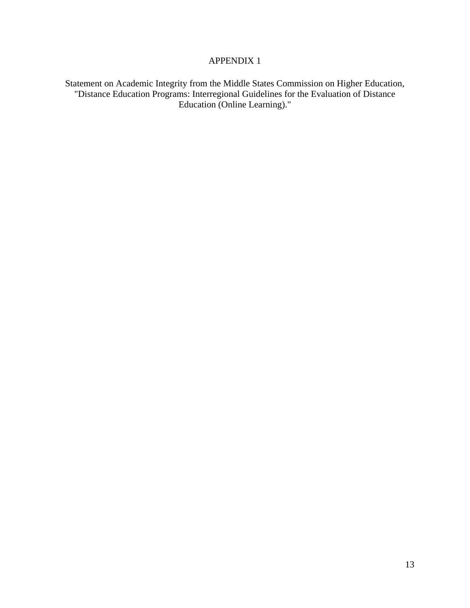## APPENDIX 1

Statement on Academic Integrity from the Middle States Commission on Higher Education, "Distance Education Programs: Interregional Guidelines for the Evaluation of Distance Education (Online Learning)."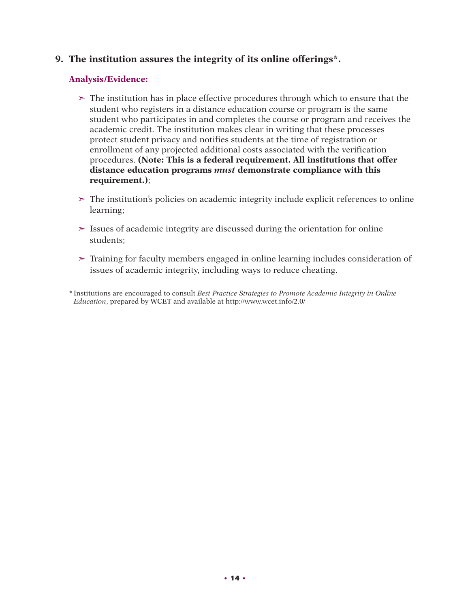# **9. The institution assures the integrity of its online offerings\*.**

## **Analysis/Evidence:**

- $\geq$  The institution has in place effective procedures through which to ensure that the student who registers in a distance education course or program is the same student who participates in and completes the course or program and receives the academic credit. The institution makes clear in writing that these processes protect student privacy and notifies students at the time of registration or enrollment of any projected additional costs associated with the verification procedures. **(Note: This is a federal requirement. All institutions that offer distance education programs** *must* **demonstrate compliance with this requirement.)**;
- ➣ The institution's policies on academic integrity include explicit references to online learning;
- $\geq$  Issues of academic integrity are discussed during the orientation for online students;
- ➣ Training for faculty members engaged in online learning includes consideration of issues of academic integrity, including ways to reduce cheating.

**\***Institutions are encouraged to consult *Best Practice Strategies to Promote Academic Integrity in Online Education*, prepared by WCET and available at http://www.wcet.info/2.0/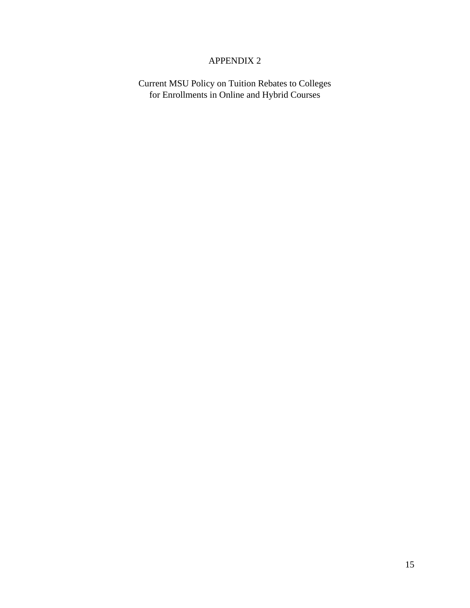# APPENDIX 2

Current MSU Policy on Tuition Rebates to Colleges for Enrollments in Online and Hybrid Courses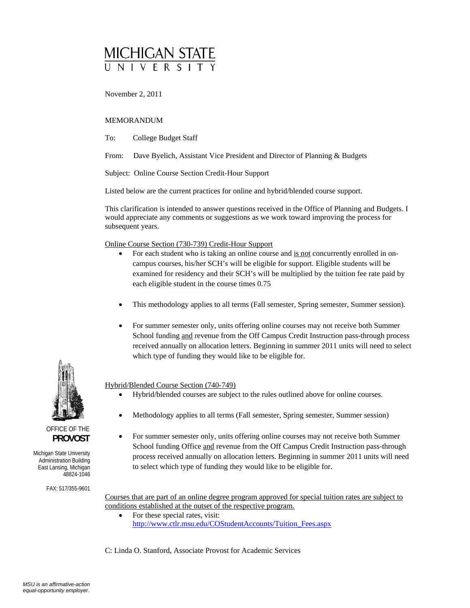# MICHIGAN STATE

November 2, 2011

#### MEMORANDUM

To: College Budget Staff

From: Dave Byelich, Assistant Vice President and Director of Planning & Budgets

Subject: Online Course Section Credit-Hour Support

Listed below are the current practices for online and hybrid/blended course support.

This clarification is intended to answer questions received in the Office of Planning and Budgets. I would appreciate any comments or suggestions as we work toward improving the process for subsequent years.

Online Course Section (730-739) Credit-Hour Support

- For each student who is taking an online course and is not concurrently enrolled in oncampus courses, his/her SCH's will be eligible for support. Eligible students will be examined for residency and their SCH's will be multiplied by the tuition fee rate paid by each eligible student in the course times 0.75
- This methodology applies to all terms (Fall semester, Spring semester, Summer session).
- For summer semester only, units offering online courses may not receive both Summer School funding and revenue from the Off Campus Credit Instruction pass-through process received annually on allocation letters. Beginning in summer 2011 units will need to select which type of funding they would like to be eligible for.

Hybrid/Blended Course Section (740-749)

- Hybrid/blended courses are subject to the rules outlined above for online courses.
- Methodology applies to all terms (Fall semester, Spring semester, Summer session)
- For summer semester only, units offering online courses may not receive both Summer School funding Office and revenue from the Off Campus Credit Instruction pass-through process received annually on allocation letters. Beginning in summer 2011 units will need to select which type of funding they would like to be eligible for.

Courses that are part of an online degree program approved for special tuition rates are subject to conditions established at the outset of the respective program.

• For these special rates, visit: http://www.ctlr.msu.edu/COStudentAccounts/Tuition\_Fees.aspx

C: Linda O. Stanford, Associate Provost for Academic Services



OFFICE OF THE  **PROVOST** 

Michigan State University Administration Building East Lansing, Michigan 48824-1046

FAX: 517/355-9601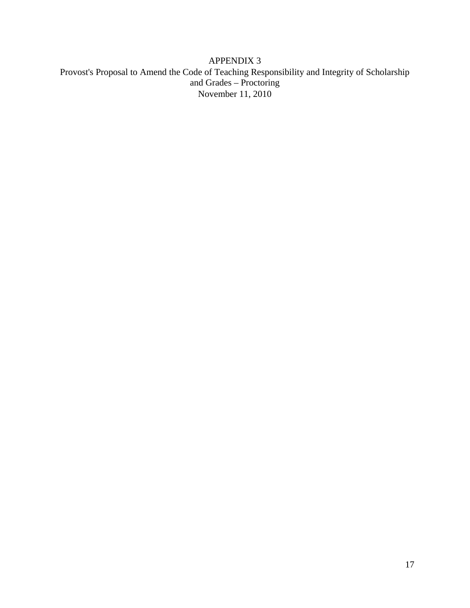# APPENDIX 3 Provost's Proposal to Amend the Code of Teaching Responsibility and Integrity of Scholarship and Grades – Proctoring November 11, 2010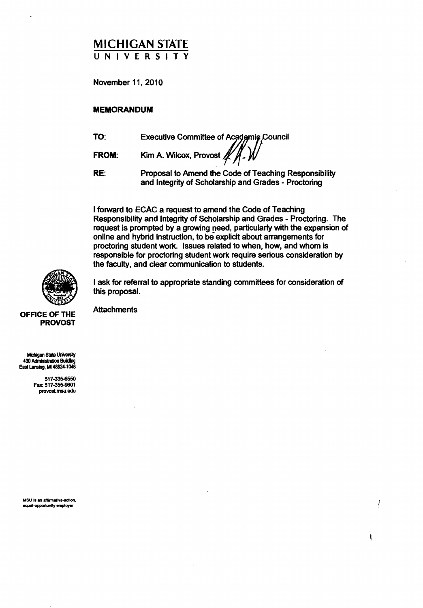# MICHIGAN STATE UNIVERSITY

November 11, 2010

#### MEMORANDUM

TO: Executive Committee of Academic Council

FROM: Kim A. Wilcox, Provost **/** 

RE: Proposal to Amend the Code of Teaching Responsibility and Integrity of Scholarship and Grades - Proctoring

I forward to ECAC a request to amend the Code of Teaching Responsibility and Integrity of Scholarship and Grades - Proctoring. The request is prompted by a growing need, particularly with the expansion of online and hybrid instruction, to be explicit about arrangements for proctoring student work. Issues related to when, how, and whom is responsible for proctoring student work require serious consideration by the faculty, and clear communication to stUdents.

OFFICE OF THE PROVOS

OF THE PROVOST

I ask for referral to appropriate standing committees for consideration of this proposal.

**Attachments** 

Michigan State University 430 Administration Building East Lansing, MI 48824-1046

> 517-335-6550 Fax: 517-355-9601 provoslmsu.edu

MSU is an affirmative-action. equal-opportunity employer.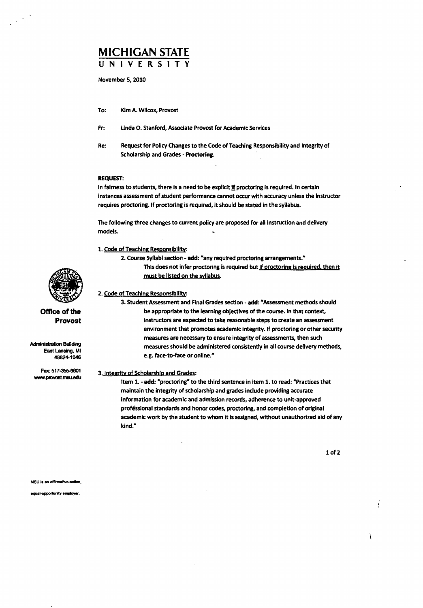# **MICHIGAN** STATE UNIVERSITY

November 5, 2010

- To: Kim A. Wilcox, Provost
- Fr: Linda O. Stanford, Associate Provost for Academic Services
- Re: Request for Policy Changes to the Code of Teaching Responsibility and Integrity of Scholarship and Grades - Proctoring.

#### REQUEST:

In fairness to students, there is a need to be explicit if proctoring is required. In certain instances assessment of student performance cannot occur with accuracy unless the Instructor requires proctoring. If proctoring is required, It should be stated in the syllabus.

The following three changes to current policy are proposed for all instruction and delivery models.

- 1. Code of Teaching Responsibility:
	- 2. Course Syllabi section add: "any required proctoring arrangements." This does not infer proctoring is required but if proctoring is required, then it must be listed on the syllabus.

2. Code of Teaching Responsibility:

3. Student Assessment and Final Grades section - add: "Assessment methods should be appropriate to the learning objectives of the course. In that context, instructors are expected to take reasonable steps to create an assessment environment that promotes academic integrity. If proctoring or other security measures are necessary to ensure integrity of assessments, then such measures should be administered consistently in all course delivery methods, e.g. face-to-face or online."

#### 3. Integrity of Scholarship and Grades:

Item 1. - add: "proctoring" to the third sentence in item 1. to read: "Practices that maintain the integrity of scholarship and grades include providing accurate information for academic and admission records, adherence to unit-approved professional standards and honor codes, proctoring, and completion of original academic work by the student to whom it is assigned, without unauthorized aid of any kind."

1of2



**Office of the Provost** 

**Administration Building** East Lansing. MI 48824-1046

Fax: 511-355-9601 www.provost.msu.edu

squal-opportunity employer.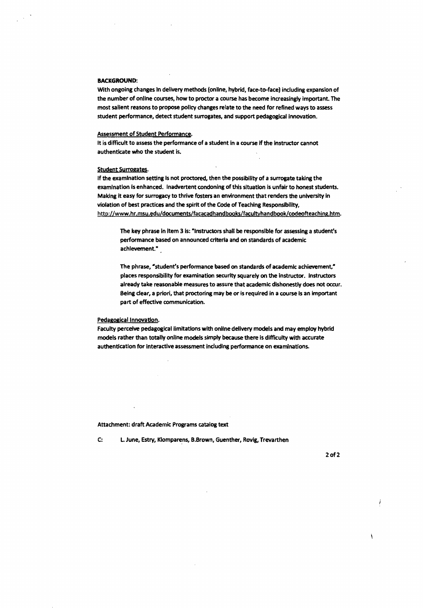#### BACKGROUND:

With ongoing changes In delivery methods (online, hybrid, face-to-face) including expansion of the number of online courses, how to proctor a course has become increasingly important. The most salient reasons to propose policy changes relate to the need for refined ways to assess student performance, detect student surrogates, and support pedagogical innovation.

#### Assessment of Student Performance.

It is difficult to assess the performance of a student in a course if the instructor cannot authenticate who the student is.

#### Student Surrogates.

If the examination setting is not proctored, then the possibility of a surrogate taking the examination Is enhanced. Inadvertent condoning of this situation is unfair to honest students. Making It easy for surrogacy to thrive fosters an environment that renders the university In violation of best practices and the spirit of the Code of Teaching Responsibility, http://www.hr.msu.edu/documents/facacadhandbooks/facultyhandbook/codeofteaching.htm.

The key phrase in item 3 is: "Instructors shall be responsible for assessing a student's performance based on announced criteria and on standards of academic achievement."

The phrase, "student's performance based on standards of academic achievement," places responsibility for examination security squarely on the instructor. Instructors already take reasonable measures to assure that academic dishonestly does not occur. Being dear, a priori, that proctoring may be or is required in a course is an important part of effective communication.

#### Pedagogical Innovation.

Faculty perceive pedagogical limitations with online delivery models and may employ hybrid models rather than totally online models simply because there is difficulty with accurate authentication for interactive assessment including performance on examinations.

#### Attachment: draft Academic Programs catalog text

C: L. June, Estry, Klomparens, B.Brown, Guenther, Rovig, Trevarthen

2of2

À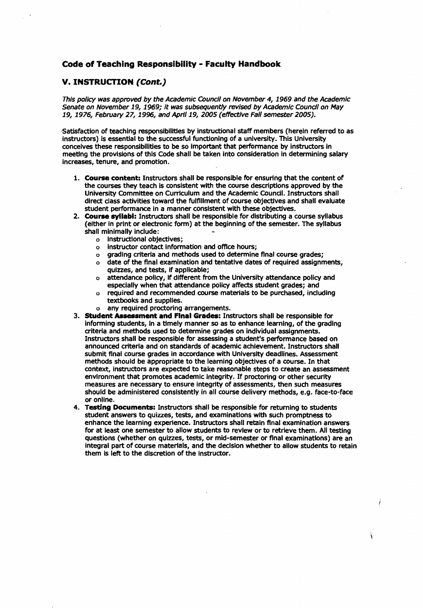## **Code of Teaching Responsibility - Faculty Handbook**

## **v. INSTRUCTION (Cant.)**

This policy was approved by the Academic Council on November 4, 1969 and the Academic Senate on November 19, 1969; It was subsequently revised by Academic Council on May 19, 1976, February 27, 1996, and Aprl119, 2005 (effective Fall semester 2005).

-Satisfaction of teaching responsibilities by instructional staff members (herein referred to as Instructors) Is essential to the successful functioning of a university. This University conceives these responsibilities to be so Important that performance by instructors in meeting the provisions of this Code shall be taken Into consideration in determining salary increases, tenure, and promotion.

- **1. Course content:** Instructors shall be responsible for ensuring that the content of the courses they teach Is consistent with the course descriptions approved by the University COmmittee on Curriculum and the Academic COundl. Instructors shall direct class activities toward the fulfillment of course objectives and shall evaluate student performance in a manner consistent with these objectives.
- 2. **Course syllabi:** Instructors shall be responsible for distributing a course syllabus (either in print or electronic form) at the beginning of the semester. The syllabus shall minimally include:
	- o instructional objectives;
	- o instructor contact information and office hours;
	- o grading criteria and methods used to determine final course grades;
	- o date of the final examination and tentative dates of required assignments, quizzes, and tests, if applicable;
	- o attendance policy, if different from the University attendance policy and especially when that attendance policy affects student grades; and
	- o required and recommended course materials to be purchased, including textbooks and supplies.
	- o any required proctoring arrangements.
- 3. **Student Assessment and Final Grades: Instructors shall be responsible for** informing students, In a timely manner so as to enhance learning, of the grading criteria and methods used to determine grades on individual assignments. Instructors shall be responsible for assessing a student's performance based on announced criteria and on standards of academic achievement. Instructors shall submit final course grades in accordance with University deadlines. Assessment methods should be appropriate to the learning objectives of a course. In that context, instructors are expected to take reasonable steps to create an assessment environment that promotes academic integrity. If proctoring or other security measures are necessary to ensure integrity of assessments, then such measures should be administered consistently in all course delivery methods, e.g. face-to-face or online.
- 4. **Testing Documents:** Instructors shall be responsible for returning to students student answers to quizzes, tests, and examinations with such promptness to enhance the learning experience. Instructors shall retain final examination answers for at least one semester to allow students to review or to retrieve them. All testing questions (whether on quizzes, tests, or mid-semester or final examinations) are an Integral part of course materials, and the decision whether to allow students to retain them is left to the discretion of the instructor.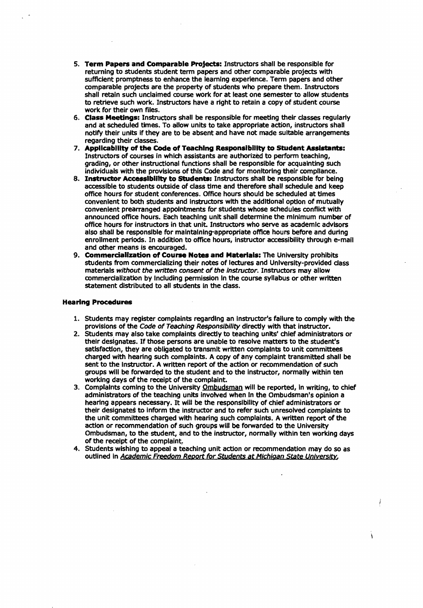- 5. **Term Papers and Comparable Projects:** Instructors shall be responsible for returning to students student term papers and other comparable projects with sufficient promptness to enhance the learning experience. Term papers and other comparable projects are the property of students who prepare them. Instructors shall retain such unclaimed course work for at least one semester to allow students to retrieve such work. Instructors have a right to retain a copy of student course work for their own files.
- 6. Class Meetings: Instructors shall be responsible for meeting their classes regulariy and at scheduled times. To allow units to take appropriate action, instructors shall notify their units if they are to be absent and have not made suitable arrangements regarding their classes.
- 7. Applicability of the Code of Teaching Responsibility to Student Assistants: Instructors of courses In Which assistants are authorized to perform teaching, grading, or other instructional functions shall be responsible for acquainting such individuals with the provisions of this Code and for monitoring their compliance.
- 8. Instructor Accessibility to Students: Instructors shall be responsible for being accessible to students outside of class time and therefore shall schedule and keep office hours for student conferences. Office hours should be scheduled at times convenient to both students and Instructors with the additional option of mutually convenient prearranged appointments for students whose schedules conflict with announced office hours. Each teaching unit shall determine the minimum number of office hours for instructors in that unit. Instructors who serve as academic advisors also shall be responsible for maintalning-appropriate office hours before and during enrollment periods. In addition to office hours, Instructor accessibility through e-mail and other means is encouraged.
- 9. Commercialization of Course Notes and Materials: The University prohibits students from commerdalizing their notes of lectures and University-provided class materials without the written consent of the instructor. Instructors may allow commercialization by Including permission In the course syllabus or other written statement distributed to all students in the class.

#### Hearing Procedures

- 1. Students may register complaints regarding an instructor's failure to comply with the provisions of the Code of Teaching Responsibility directly with that instructor.
- 2. Students may also take complaints directly to teaching units' chief administrators or their designates. If those persons are unable to resolve matters to the student's satisfaction, they are obligated to transmit written complaints to unit committees charged with hearing such complaints. A copy of any complaint transmitted shall be sent to the instructor. A written report of the action or recommendation of such groups will be forwarded to the student and to the instructor, normally within ten working days of the receipt of the complaint.
- 3. Complaints coming to the University Ombudsman will be reported, in writing, to chief administrators of the teaching units involved when In the Ombudsman's opinion a hearing appears necessary. It will be the responsibility of chief administrators or their designates to inform the instructor and to refer such unresolved complaints to the unit committees charged with hearing such complaints. A written report of the action or recommendation of such groups will be forwarded to the University Ombudsman, to the student, and to the instructor, normally within ten working days of the receipt of the complaint.
- 4. Students wishing to appeal a teaching unit action or recommendation may do so as outlined in Academic Freedom Report for Students at Michigan State University,

À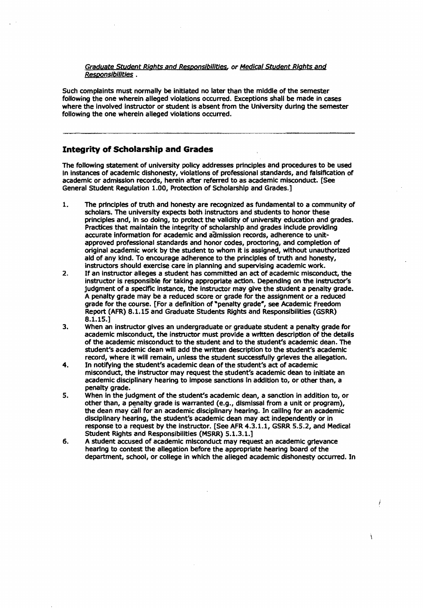#### Graduate Student Rights and Responsibilities, or Medical Student Rights and Responsibilities .

Such complaints must normally be initiated no later than the middle of the semester following the one wherein alleged violations occurred. Exceptions shall be made in cases where the involved Instructor or student is absent from the University during the semester following the one wherein alleged violations occurred.

## **Integrity of Scholarship and Grades**

The following statement of university policy addresses principles and procedures to be used In instances of academic dishonesty, violations of professional standards, and falsification of academic or admission records, herein after referred to as academic misconduct. [See General Student Regulation 1.00, Protection of Scholarship and Grades.]

- 1. The principles of truth and honesty are recognized as fundamental to a community of scholars. The university expects both instructors and students to honor these principles and, in so doing, to protect the validity of university education and grades. Practices that maintain the integrity of scholarship and grades indude providing accurate Information for academic and admission records, adherence to unitapproved professional standards and honor codes, proctoring, and completion of original academic work by the student to whom it is assigned, without unauthorized aid of any kind. To encourage adherence to the principles of truth and honesty, instructors should exercise care in planning and supervising academic work.
- 2. If an instructor alleges a student has committed an act of academic misconduct, the instructor is responsible for taking appropriate action. Depending on the instructor's judgment of a spedflc instance, the instructor may give the student a penalty grade. A penalty grade may be a reduced score or grade for the assignment or a reduced grade for the course. [For a definition of "penalty grade", see Academic Freedom Report (AFR) 8.1.15 and Graduate Students Rights and Responsibilities (GSRR) 8.1.15.]
- 3. When an instructor gives an undergraduate or graduate student a penalty grade for academic misconduct, the instructor must provide a written description of the details of the academic misconduct to the student and to the student's academic dean. The student's academic dean will add the written description to the student's academic record, where it will remain, unless the student successfully grieves the allegation.
- 4. In notifying the student's academic dean of the student's act of academic misconduct, the instructor may request the student's academic dean to initiate an academic disciplinary hearing to impose sanctions in addition to, or other than, a penalty grade.
- 5. When in the judgment of the student's academic dean, a sanction in addition to, or other than, a penalty grade is warranted (e.g., dismissal from a unit or program), the dean may call for an academic disciplinary hearing. In calling for an academic disciplinary hearing, the student's academic dean may act independently or in response to a request by the instructor. [See AFR 4.3.1.1, GSRR 5.5.2, and Medical Student RIghts and Responsibilities (MSRR) 5.1.3.1.]
- 6. A student accused of academic misconduct may request an academic grievance hearing to contest the allegation before the appropriate hearing board of the department, school, or college in which the alleged academic dishonesty occurred. In

Ì